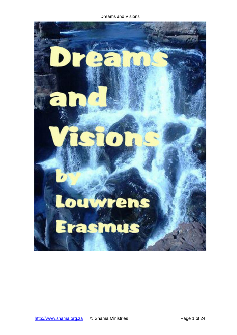Dreams and Visions

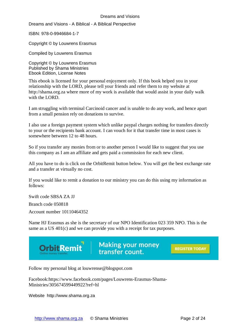Dreams and Visions - A Biblical - A Biblical Perspective

ISBN: 978-0-9946684-1-7

Copyright © by Louwrens Erasmus

Compiled by Louwrens Erasmus

Copyright © by Louwrens Erasmus Published by Shama Ministries Ebook Edition, License Notes

This ebook is licensed for your personal enjoyment only. If this book helped you in your relationship with the LORD, please tell your friends and refer them to my website at http://shama.org.za where more of my work is available that would assist in your daily walk with the LORD.

I am struggling with terminal Carcinoid cancer and is unable to do any work, and hence apart from a small pension rely on donations to survive.

I also use a foreign payment system which unlike paypal charges nothing for transfers directly to your or the recipients bank account. I can vouch for it that transfer time in most cases is somewhere between 12 to 48 hours.

So if you transfer any monies from or to another person I would like to suggest that you use this company as I am an affiliate and gets paid a commission for each new client.

All you have to do is click on the OrbitRemit button below. You will get the best exchange rate and a transfer at virtually no cost.

If you would like to remit a donation to our ministry you can do this using my information as follows:

Swift code SBSA ZA JJ Branch code 050818 Account number 10110464352

Name HJ Erasmus as she is the secretary of our NPO Identification 023 359 NPO. This is the same as a US 401(c) and we can provide you with a receipt for tax purposes.



Follow my personal blog at louwrense@blogspot.com

Facebook:https://www.facebook.com/pages/Louwrens-Erasmus-Shama-Ministries/305674599449922?ref=hl

Website http://www.shama.org.za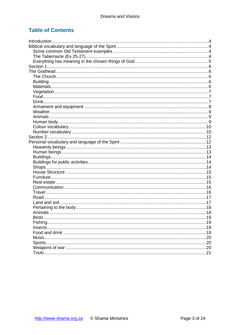# **Table of Contents**

| 19 |
|----|
|    |
|    |
|    |
|    |
|    |
|    |
|    |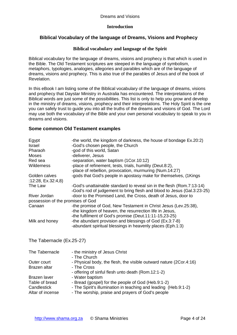### **Introduction**

# <span id="page-3-0"></span>**Biblical Vocabulary of the language of Dreams, Visions and Prophecy**

#### **Biblical vocabulary and language of the Spirit**

<span id="page-3-1"></span>Biblical vocabulary for the language of dreams, visions and prophecy is that which is used in the Bible. The Old Testament scriptures are steeped in the language of symbolism, metaphors, typologies, analogies, allegories and parables which are of the language of dreams, visions and prophecy. This is also true of the parables of Jesus and of the book of Revelation.

In this eBook I am listing some of the Biblical vocabulary of the language of dreams, visions and prophecy that Daystar Ministry in Australia has encountered. The interpretations of the Biblical words are just some of the possibilities. This list is only to help you grow and develop in the ministry of dreams, visions, prophecy and their interpretations. The Holy Spirit is the one you can safely trust to guide you into all the truths of the dreams and visions of God. The Lord may use both the vocabulary of the Bible and your own personal vocabulary to speak to you in dreams and visions.

#### <span id="page-3-2"></span>**Some common Old Testament examples**

| Egypt<br><b>Israel</b><br>Pharaoh<br><b>Moses</b><br>Red sea | -the world, the kingdom of darkness, the house of bondage Ex.20:2)<br>-God's chosen people, the Church<br>-god of this world, Satan<br>-deliverer, Jesus<br>-separation, water baptism (1Cor.10:12) |
|--------------------------------------------------------------|-----------------------------------------------------------------------------------------------------------------------------------------------------------------------------------------------------|
| <b>Wilderness</b>                                            | -place of refinement, tests, trials, humility (Deut.8:2),<br>-place of rebellion, provocation, murmuring (Num.14:27)                                                                                |
| Golden calves<br>:12:28, $Ex.32:4,8$ )                       | -gods that God's people in apostasy make for themselves, (1Kings                                                                                                                                    |
| The Law                                                      | -God's unattainable standard to reveal sin in the flesh (Rom.7:13-14)<br>-God's rod of judgement to bring flesh and blood to Jesus (Gal.3:23-25)                                                    |
| River Jordan                                                 | -door to the Promised Land, the Cross, death of Jesus, door to                                                                                                                                      |
| possession of the promises of God                            |                                                                                                                                                                                                     |
| Canaan                                                       | -the promise of God, New Testament in Christ Jesus (Lev.25:38),<br>-the kingdom of heaven, the resurrection life in Jesus,<br>-the fulfilment of God's promise (Deut.11:11-15,23-25)                |
| Milk and honey                                               | -the abundant provision and blessings of God (Ex.3:7-8)<br>-abundant spiritual blessings in heavenly places (Eph.1:3)                                                                               |
| The Tabernacle (Ex.25-27)                                    |                                                                                                                                                                                                     |

<span id="page-3-3"></span>

| The Tabernacle   | - the ministry of Jesus Christ                                     |
|------------------|--------------------------------------------------------------------|
|                  | - The Church                                                       |
| Outer court      | - Physical body, the flesh, the visible outward nature (2Cor.4:16) |
| Brazen altar     | - The Cross                                                        |
|                  | - offering of sinful flesh unto death (Rom.12:1-2)                 |
| Brazen laver     | - Water baptism                                                    |
| Table of bread   | - Bread (gospel) for the people of God (Heb.9:1-2)                 |
| Candlestick      | - The Spirit's illumination in teaching and leading (Heb.9:1-2)    |
| Altar of incense | - The worship, praise and prayers of God's people                  |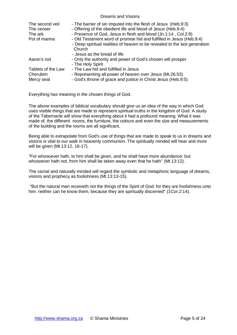| The second veil<br>The censer | - The barrier of sin imputed into the flesh of Jesus (Heb.9:3)<br>- Offering of the obedient life and blood of Jesus (Heb.9:4) |
|-------------------------------|--------------------------------------------------------------------------------------------------------------------------------|
| The ark                       | - Presence of God, Jesus in flesh and blood (Jn.1:14, Col.2:9)                                                                 |
| Pot of manna                  | - Old Testament word of promise hid and fulfilled in Jesus (Heb.9:4)                                                           |
|                               | - Deep spiritual realities of heaven to be revealed to the last generation                                                     |
|                               | Church                                                                                                                         |
|                               | - Jesus as the bread of life                                                                                                   |
| Aaron's rod                   | - Only the authority and power of God's chosen will prosper                                                                    |
|                               | - The Holy Spirit                                                                                                              |
| Tablets of the Law            | - The Law hid and fulfilled in Jesus                                                                                           |
| Cherubim                      | - Representing all power of heaven over Jesus (Mt.26:53)                                                                       |
| Mercy seat                    | - God's throne of grace and justice in Christ Jesus (Heb.9:5)                                                                  |

<span id="page-4-0"></span>Everything has meaning in the chosen things of God.

The above examples of biblical vocabulary should give us an idea of the way in which God uses visible things that are made to represent spiritual truths in the kingdom of God. A study of the Tabernacle will show that everything about it had a profound meaning. What it was made of, the different rooms, the furniture, the colours and even the size and measurements of the building and the rooms are all significant.

Being able to extrapolate from God's use of things that are made to speak to us in dreams and visions is vital to our walk in heavenly communion. The spiritually minded will hear and more will be given (Mt.13:12, 16-17).

"For whosoever hath, to him shall be given, and he shall have more abundance: but whosoever hath not, from him shall be taken away even that he hath" (Mt.13:12).

The carnal and naturally minded will regard the symbolic and metaphoric language of dreams, visions and prophecy as foolishness (Mt.13:13-15).

"But the natural man receiveth not the things of the Spirit of God: for they are foolishness unto him: neither can he know them, because they are spiritually discerned" (1Cor.2:14).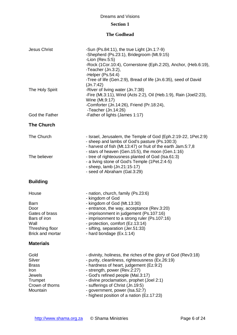# **Section 1**

# **The Godhead**

<span id="page-5-4"></span><span id="page-5-3"></span><span id="page-5-2"></span><span id="page-5-1"></span><span id="page-5-0"></span>

| <b>Jesus Christ</b>                                                                                                  | -Sun (Ps.84:11), the true Light (Jn.1:7-9)<br>-Shepherd (Ps.23:1), Bridegroom (Mt.9:15)<br>-Lion $(Rev.5:5)$<br>-Rock (1Cor.10:4), Cornerstone (Eph.2:20), Anchor, (Heb.6:19),<br>-Teacher (Jn.3:2),<br>-Helper (Ps.54:4)<br>-Tree of life (Gen.2:9), Bread of life (Jn.6:35), seed of David                                                                                                              |
|----------------------------------------------------------------------------------------------------------------------|-----------------------------------------------------------------------------------------------------------------------------------------------------------------------------------------------------------------------------------------------------------------------------------------------------------------------------------------------------------------------------------------------------------|
| The Holy Spirit                                                                                                      | Jn.7:42)<br>-River of living water (Jn.7:38)<br>-Fire (Mt.3:11), Wind (Acts 2:2), Oil (Heb.1:9), Rain (Joel2:23),<br>Wine (Mt.9:17)<br>-Comforter (Jn.14:26), Friend (Pr.18:24),<br>-Teacher (Jn.14:26)                                                                                                                                                                                                   |
| God the Father                                                                                                       | -Father of lights (James 1:17)                                                                                                                                                                                                                                                                                                                                                                            |
| <b>The Church</b>                                                                                                    |                                                                                                                                                                                                                                                                                                                                                                                                           |
| The Church<br>The believer                                                                                           | - Israel, Jerusalem, the Temple of God (Eph.2:19-22, 1Pet.2:9)<br>- sheep and lambs of God's pasture (Ps.100:3)<br>- harvest of fish (Mt.13:47) or fruit of the earth Jam.5:7,8<br>- stars of heaven (Gen.15:5), the moon (Gen.1:16)<br>- tree of righteousness planted of God (Isa.61:3)<br>- a living stone of God's Temple (1Pet.2:4-5)<br>- sheep, lamb (Jn.21:15-17)<br>- seed of Abraham (Gal.3:29) |
| <b>Building</b>                                                                                                      |                                                                                                                                                                                                                                                                                                                                                                                                           |
| House<br><b>Barn</b><br>Door<br>Gates of brass<br>Bars of iron<br>Wall<br>Threshing floor<br><b>Brick and mortar</b> | - nation, church, family (Ps.23:6)<br>- kingdom of God<br>- kingdom of God (Mt.13:30)<br>- entrance, the way, acceptance (Rev.3:20)<br>- imprisonment in judgement (Ps.107:16)<br>- imprisonment to a strong ruler (Ps.107:16)<br>- protection, comfort (Ez.13:14)<br>- sifting, separation (Jer.51:33)<br>- hard bondage (Ex.1:14)                                                                       |
| <b>Materials</b>                                                                                                     |                                                                                                                                                                                                                                                                                                                                                                                                           |
| Gold<br>Silver<br><b>Brass</b><br>Iron<br>Jewels<br>Trumpet<br>Crown of thorns<br>Mountain                           | - divinity, holiness, the riches of the glory of God (Rev3:18)<br>- purity, cleanliness, righteousness (Ex.26:19)<br>- hardness of heart, judgement (Ez.9:2)<br>- strength, power (Rev.2:27)<br>- God's refined people (Mal.3:17)<br>- divine proclamation, prophet (Joel 2:1)<br>- sufferings of Christ (Jn.19:5)<br>- government, power (Isa.52:7)<br>- highest position of a nation (Ez.17:23)         |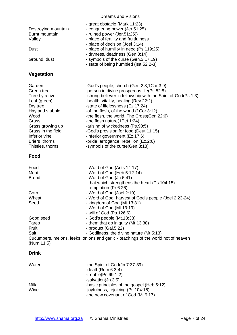<span id="page-6-1"></span><span id="page-6-0"></span>

| Destroying mountain<br>Burnt mountain<br>Valley<br>Dust<br>Ground, dust                                                                                                                                  | - great obstacle (Mark 11:23)<br>- conquering power (Jer.51:25)<br>- ruined power (Jer.51:25))<br>- place of fertility and fruitfulness<br>- place of decision (Joel 3:14)<br>- place of humility in need (Ps.119:25)<br>- dryness, deadness (Gen.3:14)<br>- symbols of the curse (Gen.3:17,19)<br>- state of being humbled (Isa.52:2-3)                                                                                                                                                                                                                   |
|----------------------------------------------------------------------------------------------------------------------------------------------------------------------------------------------------------|------------------------------------------------------------------------------------------------------------------------------------------------------------------------------------------------------------------------------------------------------------------------------------------------------------------------------------------------------------------------------------------------------------------------------------------------------------------------------------------------------------------------------------------------------------|
| <b>Vegetation</b>                                                                                                                                                                                        |                                                                                                                                                                                                                                                                                                                                                                                                                                                                                                                                                            |
| Garden<br>Green tree<br>Tree by a river<br>Leaf (green)<br>Dry tree<br>Hay and stubble<br>Wood<br>Grass<br>Grass growing up<br>Grass in the field<br>Inferior vine<br>Briers, thorns<br>Thistles, thorns | -God's people, church (Gen.2:8,1Cor.3:9)<br>-person in divine prosperous life(Ps.52:8)<br>-strong believer in fellowship with the Spirit of God(Ps.1:3)<br>-health, vitality, healing (Rev.22:2)<br>-state of lifelessness (Ez.17:24)<br>-of the flesh, of the world (1Cor.3:12)<br>-the flesh, the world, The Cross(Gen.22:6)<br>-the flesh nature(1Pet.1:24)<br>-arising of wickedness (Ps.90:5)<br>-God's provision for food (Deut.11:15)<br>-Inferior government (Ez.17:6)<br>-pride, arrogance, rebellion (Ez.2:6)<br>-symbols of the curse(Gen.3:18) |
| Food                                                                                                                                                                                                     |                                                                                                                                                                                                                                                                                                                                                                                                                                                                                                                                                            |
| Food<br>Meat<br><b>Bread</b>                                                                                                                                                                             | - Word of God (Acts 14:17)<br>- Word of God (Heb.5:12-14)<br>- Word of God (Jn.6:41)<br>- that which strengthens the heart (Ps.104:15)<br>- temptation (Pr.6:26)                                                                                                                                                                                                                                                                                                                                                                                           |
| Corn<br>Wheat<br>Seed                                                                                                                                                                                    | - Word of God (Joel 2:19)<br>- Word of God, harvest of God's people (Joel 2:23-24)<br>- kingdom of God (Mt.13:31)<br>- Word of God (Mt.13:19)<br>- will of God (Ps.126:6)                                                                                                                                                                                                                                                                                                                                                                                  |
| Good seed<br>Tares<br>Fruit<br>Salt<br>(Num.11:5)                                                                                                                                                        | - God's people (Mt.13:38)<br>- them that do iniquity (Mt.13:38)<br>- product (Gal.5:22)<br>- Godliness, the divine nature (Mt.5:13)<br>Cucumbers, melons, leeks, onions and garlic - teachings of the world not of heaven                                                                                                                                                                                                                                                                                                                                  |
| <b>Drink</b>                                                                                                                                                                                             |                                                                                                                                                                                                                                                                                                                                                                                                                                                                                                                                                            |
| Water                                                                                                                                                                                                    | -the Spirit of God(Jn.7:37-39)<br>$-death(Rom.6:3-4)$<br>$-trouble(Ps.69:1-2)$<br>-salvation(Jn.3:5)                                                                                                                                                                                                                                                                                                                                                                                                                                                       |
| Milk<br>Wine                                                                                                                                                                                             | -basic principles of the gospel (Heb.5:12)<br>-joyfulness, rejoicing (Ps.104:15)                                                                                                                                                                                                                                                                                                                                                                                                                                                                           |

-the new covenant of God (Mt.9:17)

<span id="page-6-2"></span>Wine **-joyfulness, rejoicing (Ps.104:15)**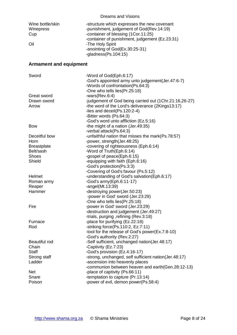<span id="page-7-0"></span>

| Wine bottle/skin<br>Winepress<br>Cup<br>Oil | -structure which expresses the new covenant<br>-punishment, judgement of God(Rev.14:19)<br>-container of blessing (1Cor.11:25)<br>-container of punishment, judgement (Ez.23:31)<br>-The Holy Spirit<br>-anointing of God(Ex.30:25-31)<br>-gladness $(Ps.104:15)$ |
|---------------------------------------------|-------------------------------------------------------------------------------------------------------------------------------------------------------------------------------------------------------------------------------------------------------------------|
| <b>Armament and equipment</b>               |                                                                                                                                                                                                                                                                   |
| Sword                                       | -Word of God(Eph.6:17)<br>-God's appointed army unto judgement(Jer.47:6-7)<br>-Words of confrontation(Ps.64:3)<br>-One who tells lies(Pr.25:18)                                                                                                                   |
| Great sword                                 | $-wars(Rev.6:4)$                                                                                                                                                                                                                                                  |
| Drawn sword<br>Arrow                        | -judgement of God being carried out (1Chr.21:16,26-27)<br>-the word of the Lord's deliverance (2Kings13:17)<br>-lies and deceit(Ps.120:2-4)<br>-Bitter words (Ps.64:3)                                                                                            |
| <b>Bow</b>                                  | -God's word unto affliction (Ez.5:16)<br>-the might of a nation (Jer.49:35)<br>-verbal attack(Ps.64:3)                                                                                                                                                            |
| Deceitful bow                               | -unfaithful nation that misses the mark(Ps.78:57)                                                                                                                                                                                                                 |
| Horn                                        | -power, strength(Jer.48:25)                                                                                                                                                                                                                                       |
| <b>Breastplate</b>                          | -covering of righteousness (Eph.6:14)                                                                                                                                                                                                                             |
| Belt/sash                                   | -Word of Truth(Eph.6:14)                                                                                                                                                                                                                                          |
| <b>Shoes</b>                                | -gospel of peace(Eph.6:15)                                                                                                                                                                                                                                        |
| Shield                                      | -equipping with faith (Eph.6:16)                                                                                                                                                                                                                                  |
|                                             | -God's protection(Ps.3:3)                                                                                                                                                                                                                                         |
|                                             | -Covering of God's favour (Ps.5:12)                                                                                                                                                                                                                               |
| Helmet                                      | -understanding of God's salvation(Eph.6:17)                                                                                                                                                                                                                       |
| Roman army                                  | -God's $army(Eph.6:11-17)$                                                                                                                                                                                                                                        |
| Reaper                                      | -angel( $Mt.13:39$ )                                                                                                                                                                                                                                              |
| Hammer                                      | -destroying power(Jer.50:23)                                                                                                                                                                                                                                      |
|                                             | -power in God' sword (Jer.23:29)                                                                                                                                                                                                                                  |
|                                             | -One who tells lies(Pr.25:18)                                                                                                                                                                                                                                     |
| Fire                                        | -power in God' sword (Jer.23:29)                                                                                                                                                                                                                                  |
|                                             | -destruction and judgement (Jer.49:27)                                                                                                                                                                                                                            |
| Furnace                                     | -trials, purging, refining (Rev.3:18)<br>-place for purifying (Ez.22:18)                                                                                                                                                                                          |
| Rod                                         | -striking force(Ps.110:2, Ez.7:11)                                                                                                                                                                                                                                |
|                                             | -tool for the release of God's power(Ex.7:8-10)                                                                                                                                                                                                                   |
|                                             | -God's authority (Rev.2:27)                                                                                                                                                                                                                                       |
| <b>Beautiful rod</b>                        | -Self sufficient, unchanged nation(Jer.48:17)                                                                                                                                                                                                                     |
| Chain                                       | -Captivity (Ez.7:23)                                                                                                                                                                                                                                              |
| <b>Staff</b>                                | -God's provision (Ez.4:16-17)                                                                                                                                                                                                                                     |
| Strong staff                                | -strong, unchanged, self sufficient nation(Jer.48:17)                                                                                                                                                                                                             |
| Ladder                                      | -ascension into heavenly places                                                                                                                                                                                                                                   |
|                                             | -communion between heaven and earth(Gen.28:12-13)                                                                                                                                                                                                                 |
| <b>Net</b>                                  | -place of captivity (Ps.66:11)                                                                                                                                                                                                                                    |
| Snare                                       | -temptation to capture (Pr.13:14)                                                                                                                                                                                                                                 |
| Poison                                      | -power of evil, demon power(Ps.58:4)                                                                                                                                                                                                                              |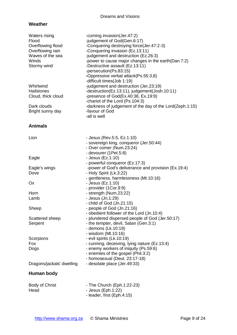## <span id="page-8-0"></span>**Weather**

<span id="page-8-2"></span><span id="page-8-1"></span>

| <b>Waters rising</b><br>Flood<br>Overflowing flood<br>Overflowing rain<br>Waves of the sea<br>Winds<br>Stormy wind | -coming invasion(Jer.47:2)<br>-judgement of God(Gen.6:17)<br>-Conquering destroying force(Jer.47:2-3)<br>-Conquering invasion (Ez.13:11)<br>-judgement and destruction (Ez.26:3)<br>-power to cause major changes in the earth (Dan.7:2)<br>-Destructive assault (Ez.13:11)<br>-persecution(Ps.83:15)<br>-Oppressive verbal attack(Ps.55:3,8)<br>-difficult times(Job 1:19) |
|--------------------------------------------------------------------------------------------------------------------|-----------------------------------------------------------------------------------------------------------------------------------------------------------------------------------------------------------------------------------------------------------------------------------------------------------------------------------------------------------------------------|
| Whirlwind<br>Hailstones<br>Cloud, thick cloud                                                                      | -judgement and destruction (Jer.23:19)<br>-destruction(Ez.13:11), judgement(Josh.10:11)<br>-presence of God(Ex.40:38, Ex.19:9)                                                                                                                                                                                                                                              |
| Dark clouds<br>Bright sunny day                                                                                    | -chariot of the Lord (Ps.104:3)<br>-darkness of judgement of the day of the Lord(Zeph.1:15)<br>-favour of God<br>-all is well                                                                                                                                                                                                                                               |
| <b>Animals</b>                                                                                                     |                                                                                                                                                                                                                                                                                                                                                                             |
| Lion                                                                                                               | - Jesus (Rev.5:5, Ez.1:10)<br>- sovereign king, conqueror (Jer.50:44)<br>- Over comer (Num.23:24)                                                                                                                                                                                                                                                                           |
| Eagle                                                                                                              | - devourer (1Pet.5:8)<br>- Jesus (Ez.1:10)<br>- powerful conqueror (Ez.17:3)                                                                                                                                                                                                                                                                                                |
| Eagle's wings<br>Dove                                                                                              | -power of God's deliverance and provision (Ex.19:4)<br>- Holy Spirit (Lk.3:22)                                                                                                                                                                                                                                                                                              |
| Ox                                                                                                                 | - gentleness, harmlessness (Mt.10:16)<br>- Jesus (Ez.1:10)<br>- provider (1Cor.9:9)                                                                                                                                                                                                                                                                                         |
| Horn<br>Lamb                                                                                                       | - strength (Num.23:22)<br>- Jesus (Jn.1:29)<br>- child of God (Jn.21:15)                                                                                                                                                                                                                                                                                                    |
| Sheep                                                                                                              | - people of God (Jn.21:16)<br>- obedient follower of the Lord (Jn.10:4)                                                                                                                                                                                                                                                                                                     |
| Scattered sheep<br>Serpent                                                                                         | - plundered dispersed people of God (Jer.50:17)<br>- the tempter, devil, Satan (Gen.3:1)<br>- demons (Lk.10:19)<br>- wisdom (Mt.10:16)                                                                                                                                                                                                                                      |
| Scorpions                                                                                                          | - evil spirits (Lk.10:19)                                                                                                                                                                                                                                                                                                                                                   |
| Fox<br>Dogs                                                                                                        | - cunning, deceiving, lying nature (Ez.13:4)<br>- enemy workers of iniquity (Ps.59:6)<br>- enemies of the gospel (Phil.3:2)<br>- homosexual (Deut. 23:17-18)                                                                                                                                                                                                                |
| Dragons/jackals' dwelling                                                                                          | - desolate place (Jer.49:33)                                                                                                                                                                                                                                                                                                                                                |
| Human body                                                                                                         |                                                                                                                                                                                                                                                                                                                                                                             |
| Body of Christ<br>Head                                                                                             | - The Church (Eph.1:22-23)<br>- Jesus (Eph.1:22)<br>- leader, first (Eph.4:15)                                                                                                                                                                                                                                                                                              |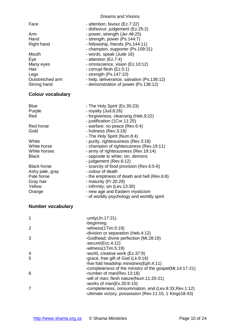<span id="page-9-0"></span>

| Face<br>Arm<br>Hand<br>Right hand<br>Mouth<br>Eye<br>Many eyes<br>Hair<br>Legs<br>Outstretched arm<br>Strong hand                                                                                 | - attention, favour (Ez.7:22)<br>- disfavour, judgement (Ez.25:2)<br>- power, strength (Jer.48:25)<br>- strength, power (Ps.144:7)<br>- fellowship, friends (Ps.144:11)<br>- champion, supporter (Ps.109:31)<br>- words, speak (Jude 16)<br>- attention (Ez.7:4)<br>- omniscience, vision (Ez.10:12)<br>- corrupt flesh (Ez.5:1)<br>- strength (Ps.147:10)<br>- help, deliverance, salvation (Ps.136:12)<br>- demonstration of power (Ps.136:12)                                                                                                                                                                                                                     |
|---------------------------------------------------------------------------------------------------------------------------------------------------------------------------------------------------|----------------------------------------------------------------------------------------------------------------------------------------------------------------------------------------------------------------------------------------------------------------------------------------------------------------------------------------------------------------------------------------------------------------------------------------------------------------------------------------------------------------------------------------------------------------------------------------------------------------------------------------------------------------------|
| <b>Colour vocabulary</b>                                                                                                                                                                          |                                                                                                                                                                                                                                                                                                                                                                                                                                                                                                                                                                                                                                                                      |
| <b>Blue</b><br>Purple<br>Red<br>Red horse<br>Gold<br>White<br>White horse<br>White horses<br><b>Black</b><br><b>Black horse</b><br>Ashy pale, gray<br>Pale horse<br>Gray hair<br>Yellow<br>Orange | - The Holy Spirit (Ex.35:23)<br>- royalty (Jud.8:26)<br>- forgiveness, cleansing (Heb.9:22)<br>- justification (1Cor.11:25)<br>- warfare; no peace (Rev.6:4)<br>- holiness (Rev.3:18)<br>- The Holy Spirit (Num.8:4)<br>- purity, righteousness (Rev.3:18)<br>- champion of righteousness (Rev.19:11)<br>- army of righteousness (Rev.19:14)<br>- opposite to white; sin, demons<br>- judgement (Rev.6:12)<br>- scarcity of food provision (Rev.6:5-6)<br>- colour of death<br>- the emptiness of death and hell (Rev.6:8)<br>- maturity (Pr.20:29)<br>- infirmity; sin (Lev.13:30)<br>- new age and Eastern mysticism<br>- of worldly psychology and worldly spirit |
| Numbor vocabulary                                                                                                                                                                                 |                                                                                                                                                                                                                                                                                                                                                                                                                                                                                                                                                                                                                                                                      |

# <span id="page-9-1"></span>**Number vocabulary**

| 1              | -unity $(Jn.17:21)$                                                                                              |
|----------------|------------------------------------------------------------------------------------------------------------------|
|                | -beginning                                                                                                       |
| 2              | $-witness(1Tim.5:19)$                                                                                            |
|                | -division or separation (Heb.4:12)                                                                               |
| 3              | -Godhead; divine perfection (Mt.28:19)                                                                           |
|                | $-$ secure $(Exc.4:12)$                                                                                          |
|                | $-witness(1Tim.5:19)$                                                                                            |
| $\overline{4}$ | -world, creative work (Ez.37:9)                                                                                  |
| 5              | -grace, free gift of God (Lk.9:16)                                                                               |
|                | -five fold headship ministries(Eph.4:11)                                                                         |
|                | -completeness of the ministry of the gospel(Mt.14:17-21)                                                         |
| 6              | -number of man(Rev.13:18)                                                                                        |
|                | -will of man; flesh nature(Num.11:20-21)                                                                         |
|                | -works of man $(Ex.20:9-10)$                                                                                     |
|                | -completeness, consummation, end (Lev.8:33, Rev.1:12)<br>-ultimate victory, possession (Rev.11:15, 1 Kings18:43) |
|                |                                                                                                                  |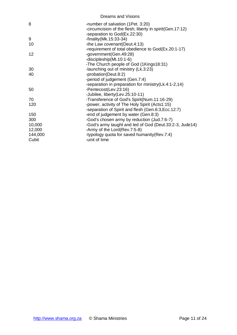| <b>Dreams and Visions</b>                                                                                                     |
|-------------------------------------------------------------------------------------------------------------------------------|
| -number of salvation (1Pet. 3:20)<br>-circumcision of the flesh; liberty in spirit(Gen.17:12)<br>-separation to God(Ex.22:30) |
| -finality (Mk. $15:33-34$ )                                                                                                   |
| -the Law covenant(Deut.4:13)                                                                                                  |
| -requirement of total obedience to God(Ex.20:1-17)<br>-government(Gen.49:28)<br>-discipleship(Mt.10:1-6)                      |
| -The Church people of God (1Kings18:31)                                                                                       |
| -launching out of ministry (Lk.3:23)                                                                                          |
| -probation(Deut.8:2)<br>-period of judgement (Gen.7:4)                                                                        |
| -separation in preparation for ministry (Lk.4:1-2,14)                                                                         |
| -Pentecost(Lev.23:16)<br>-Jubilee, liberty(Lev.25:10-11)                                                                      |
| -Transference of God's Spirit(Num.11:16-29)                                                                                   |
| -power, activity of The Holy Spirit (Acts1:15)                                                                                |
| -separation of Spirit and flesh (Gen.6:3, Ecc.12:7)                                                                           |
| -end of judgement by water (Gen.8:3)                                                                                          |
| -God's chosen army by reduction (Jud.7:6-7)                                                                                   |
| -God's army taught and led of God (Deut.33:2-3, Jude14)                                                                       |
| -Army of the Lord(Rev.7:5-8)                                                                                                  |
| -typology quota for saved humanity (Rev.7:4)                                                                                  |
| -unit of time                                                                                                                 |
|                                                                                                                               |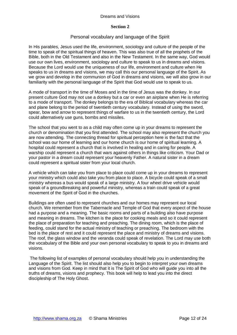#### **Section 2**

#### Personal vocabulary and language of the Spirit

<span id="page-11-1"></span><span id="page-11-0"></span>In His parables, Jesus used the life, environment, sociology and culture of the people of the time to speak of the spiritual things of heaven. This was also true of all the prophets of the Bible, both in the Old Testament and also in the New Testament. In the same way, God would use our own lives, environment, sociology and culture to speak to us in dreams and visions. Because the Lord would use the uniqueness of our life, environment and culture when He speaks to us in dreams and visions, we may call this our personal language of the Spirit. As we grow and develop in the communion of God in dreams and visions, we will also grow in our familiarity with the personal language of the Spirit that God would use to speak to us.

A mode of transport in the time of Moses and in the time of Jesus was the donkey. In our present culture God may not use a donkey but a car or even an airplane when He is referring to a mode of transport. The donkey belongs to the era of Biblical vocabulary whereas the car and plane belong to the period of twentieth century vocabulary. Instead of using the sword, spear, bow and arrow to represent things of warfare to us in the twentieth century, the Lord could alternatively use guns, bombs and missiles.

The school that you went to as a child may often come up in your dreams to represent the church or denomination that you first attended. The school may also represent the church you are now attending. The connecting thread for spiritual perception here is the fact that the school was our home of learning and our home church is our home of spiritual learning. A hospital could represent a church that is involved in healing and in caring for people. A warship could represent a church that wars against others in things like criticism. Your Dad or your pastor in a dream could represent your heavenly Father. A natural sister in a dream could represent a spiritual sister from your local church.

A vehicle which can take you from place to place could come up in your dreams to represent your ministry which could also take you from place to place. A bicycle could speak of a small ministry whereas a bus would speak of a large ministry. A four wheel drive vehicle would speak of a groundbreaking and powerful ministry, whereas a train could speak of a great movement of the Spirit of God in the churches.

Buildings are often used to represent churches and our homes may represent our local church. We remember from the Tabernacle and Temple of God that every aspect of the house had a purpose and a meaning. The basic rooms and parts of a building also have purpose and meaning in dreams. The kitchen is the place for cooking meals and so it could represent the place of preparation for teaching and preaching. The dining room, which is the place of feeding, could stand for the actual ministry of teaching or preaching. The bedroom with the bed is the place of rest and it could represent the place and ministry of dreams and visions. The roof, the glass window and the veranda could speak of revelation. The Lord may use both the vocabulary of the Bible and your own personal vocabulary to speak to you in dreams and visions.

The following list of examples of personal vocabulary should help you in understanding the Language of the Spirit. The list should also help you to begin to interpret your own dreams and visions from God. Keep in mind that it is The Spirit of God who will guide you into all the truths of dreams, visions and prophecy. This book will help to lead you into the direct discipleship of The Holy Ghost.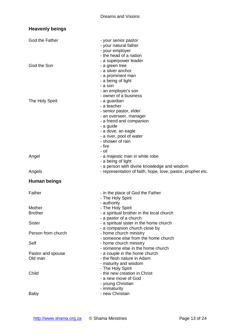<span id="page-12-1"></span><span id="page-12-0"></span>

| <b>Heavenly beings</b>       |                                                                                                                                                                                                                                            |
|------------------------------|--------------------------------------------------------------------------------------------------------------------------------------------------------------------------------------------------------------------------------------------|
| God the Father               | - your senior pastor<br>- your natural father<br>- your employer<br>- the head of a nation<br>- a superpower leader                                                                                                                        |
| God the Son                  | - a green tree<br>- a silver anchor<br>- a prominent man<br>- a being of light<br>- a son<br>- an employer's son                                                                                                                           |
| The Holy Spirit              | - owner of a business<br>- a guardian<br>- a teacher<br>- senior pastor, elder<br>- an overseer, manager<br>- a friend and companion<br>- a guide<br>- a dove, an eagle<br>- a river, pool of water<br>- shower of rain<br>- fire<br>- oil |
| Angel                        | - a majestic man in white robe<br>- a being of light<br>- a person with divine knowledge and wisdom                                                                                                                                        |
| Angels                       | - representation of faith, hope, love, pastor, prophet etc.                                                                                                                                                                                |
| <b>Human beings</b>          |                                                                                                                                                                                                                                            |
| Father                       | - in the place of God the Father<br>- The Holy Spirit<br>- authority                                                                                                                                                                       |
| Mother<br><b>Brother</b>     | - The Holy Spirit<br>- a spiritual brother in the local church<br>- a pastor of a church                                                                                                                                                   |
| <b>Sister</b>                | - a spiritual sister in the home church<br>- a companion church close by                                                                                                                                                                   |
| Person from church           | - home church ministry<br>- someone else from the home church                                                                                                                                                                              |
| Self                         | - home church ministry                                                                                                                                                                                                                     |
| Pastor and spouse<br>Old man | - someone else in the home church<br>- a couple in the home church<br>- the flesh nature in Adam<br>- maturity and wisdom<br>- The Holy Spirit                                                                                             |
| Child                        | - the new creation in Christ<br>- a new move of God<br>- young Christian<br>- immaturity                                                                                                                                                   |
| Baby                         | - new Christian                                                                                                                                                                                                                            |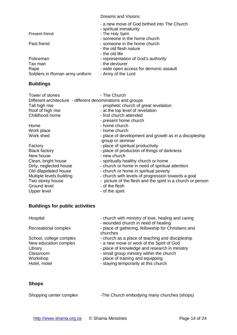|                                | - a new move of God birthed into The Church<br>- spiritual immaturity    |
|--------------------------------|--------------------------------------------------------------------------|
| Present friend                 | - The Holy Spirit<br>- someone in the home church                        |
| Past friend                    | - someone in the home church<br>- the old flesh nature<br>- the old life |
| Policeman                      | - representation of God's authority                                      |
| Tax man                        | - the devourer                                                           |
| Rape                           | - wide open access for demonic assault                                   |
| Soldiers in Roman army uniform | - Army of the Lord                                                       |

# <span id="page-13-0"></span>**Buildings**

| Tower of stones                                             | - The Church                                                |
|-------------------------------------------------------------|-------------------------------------------------------------|
| Different architecture - different denominations and groups |                                                             |
| Tall high rise                                              | - prophetic church of great revelation                      |
| Roof of high rise                                           | - at the top level of revelation                            |
| Childhood home                                              | - first church attended                                     |
|                                                             | - present home church                                       |
| Home                                                        | - home church                                               |
| Work place                                                  | - home church                                               |
| Work shed                                                   | - place of development and growth as in a discipleship      |
|                                                             | -group or seminar                                           |
| Factory                                                     | - place of spiritual productivity                           |
| <b>Black factory</b>                                        | - place of production of things of darkness                 |
| New house                                                   | - new church                                                |
| Clean, bright house                                         | - spiritually healthy church or home                        |
| Dirty, neglected house                                      | - church or home in need of spiritual attention             |
| Old dilapidated house                                       | - church or home in spiritual poverty                       |
| Multiple levels building                                    | - church with levels of progression towards a goal          |
| Two storey house                                            | - picture of the flesh and the spirit in a church or person |
| Ground level                                                | - of the flesh                                              |
| Upper level                                                 | - of the spirit                                             |
|                                                             |                                                             |

# <span id="page-13-1"></span>**Buildings for public activities**

| Hospital                | - church with ministry of love, healing and caring<br>- wounded church in need of healing |
|-------------------------|-------------------------------------------------------------------------------------------|
| Recreational complex    | - place of gathering, fellowship for Christians and<br>churches                           |
| School, college complex | - church as a place of teaching and discipleship                                          |
| New education complex   | - a new move or work of the Spirit of God                                                 |
| Library                 | - place of knowledge and research in ministry                                             |
| Classroom               | - small group ministry within the church                                                  |
| Workshop                | - place of training and equipping                                                         |
| Hotel, motel            | - staying temporarily at this church                                                      |

# <span id="page-13-2"></span>**Shops**

| Shopping center complex | -The Church embodying many churches (shops) |
|-------------------------|---------------------------------------------|
|                         |                                             |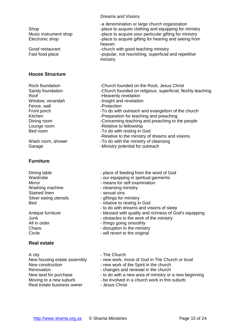ministry

## <span id="page-14-0"></span>**House Structure**

Fence, wall Fence and Fence and Tensor and Tensor and Tensor and Tensor and Tensor and Tensor and Tensor and Te

## <span id="page-14-1"></span>**Furniture**

Washing machine **- Cleansing ministry** Stained linen - sexual sins

## <span id="page-14-2"></span>**Real estate**

A city **A city A city A city A city A city A city A city A city A city A city A** control **A** control **A** control **A** control **A** control **A** control **A** control **A** control **A** control **A** control **A** c Renovation **Renovation** - changes and renewal in the church Real estate business owner - Jesus Christ

-a denomination or large church organization Shop **Shop**  $\sim$  -place to acquire clothing and equipping for ministry Music instrument shop -place to acquire your particular gifting for ministry Electronic shop  $\qquad \qquad$  -place to acquire gifting for hearing and seeing from heaven Good restaurant -church with good teaching ministry Fast food place  $\qquad \qquad \qquad -p$ opular, not nourishing, superficial and repetitive

Rock foundation **Rock foundation** -Church founded on the Rock, Jesus Christ Sandy foundation - Church founded on religious, superficial, fleshly teaching Roof **-Heavenly revelation** Window, verandah -Insight and revelation Front porch Front porch  $-$ To do with outreach and evangelism of the church Kitchen **- Example 2** - Preparation for teaching and preaching and preaching and preaching and preaching and preaching and preaching and preaching and preaching and preaching and preaching and preaching and preaching and Dining room **Example 20** -Concerning teaching and preaching to the people Lounge room **-Relative to fellowship** Bed room **-To do with resting in God** -Relative to the ministry of dreams and visions Wash room, shower -To do with the ministry of cleansing Garage **-Ministry potential for outreach** 

- Dining table **Dining table** place of feeding from the word of God
- Wardrobe  **our equipping in spiritual garments**
- Mirror **Mirror** means for self examination
	-
	-
- Silver eating utensils **Silver eating utensils** giftings for ministry
- Bed  **relative to resting in God** 
	- to do with dreams and visions of sleep
- Antique furniture  $\qquad \qquad -$  blessed with quality and richness of God's equipping
- Junk Junk  $\sim$  obstacles to the work of the ministry
- All in order  $\sim$  things going smoothly
- Chaos **Chaos** disruption in the ministry
- Circle **Circle** will revert to the original
	-
- New housing estate assembly new work, move of God in The Church or local
- New construction  $\qquad \qquad -$  new work of the Spirit in the church
	-
- New land for purchase  $\frac{1}{10}$  to do with a new area of ministry or a new beginning
- Moving to a new suburb  $\qquad \qquad$  be involved in a church work in this suburb
	-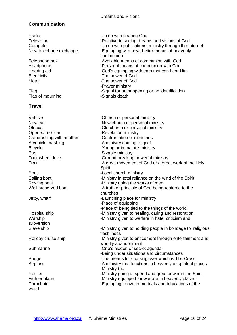# <span id="page-15-0"></span>**Communication**

<span id="page-15-1"></span>Radio **-To do with hearing God** Television **Television** -Relative to seeing dreams and visions of God Computer  $\blacksquare$  -To do with publications; ministry through the Internet New telephone exchange -Equipping with new, better means of heavenly communion Telephone box **-Available means of communion with God** Headphone **-** There is the series of communion with God -Personal means of communion with God Hearing aid **Hearing aid** -God's equipping with ears that can hear Him Electricity **-The power of God** Motor **Motor** -The power of God -Prayer ministry Flag Flag Flag -Signal for an happening or an identification Flag of mourning example and the Signals death **Travel** Vehicle **-Church or personal ministry** New car **New church** or personal ministry Old car -Old church or personal ministry Opened roof car - -Revelation ministry Car crashing with another -Confrontation of ministries A vehicle crashing The Section of A ministry coming to grief Bicycle **-Young or immature ministry** Bus **Bus** -Sizable ministry Four wheel drive  $\sim$  -Ground breaking powerful ministry Train Train  $-$ A great movement of God or a great work of the Holy **Spirit** Boat **-Local church ministry** Sailing boat **Sailing boat** -Ministry in total reliance on the wind of the Spirit Rowing boat **-Ministry doing the works of men** Well preserved boat -A truth or principle of God being restored to the churches Jetty, wharf **Internal Community** -Launching place for ministry -Place of equipping -Place of being tied to the things of the world Hospital ship **-Ministry given to healing, caring and restoration** Warship **-Ministry given to warfare in hate, criticism and** subversion Slave ship **Slave ship** -Ministry given to holding people in bondage to religious fleshliness Holiday cruise ship - Ministry given to enticement through entertainment and worldly abandonment Submarine **-One's hidden or secret agenda** -Being under situations and circumstances Bridge **-The means for crossing over which is The Cross** Airplane **-A** ministry that functions in heavenly or spiritual places -Ministry trip Rocket **-Ministry going at speed and great power in the Spirit** Fighter plane  $\blacksquare$  -Ministry equipped for warfare in heavenly places Parachute **-Equipping to overcome trials and tribulations of the** world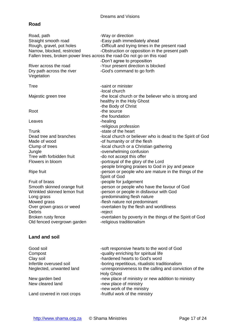# <span id="page-16-0"></span>**Road**

| Road, path<br>Straight smooth road<br>Rough, gravel, pot holes<br>Narrow, blocked, restricted<br>Fallen trees, broken power lines across the road-Do not go on this road<br>River across the road<br>Dry path across the river<br>Vegetation                                                                                                               | -Way or direction<br>-Easy path immediately ahead<br>-Difficult and trying times in the present road<br>-Obstruction or opposition in the present path<br>-Don't agree to proposition<br>-Your present direction is blocked<br>-God's command to go forth                                                                                                                                                                                                                                                                                                                                                                                                                                                                   |
|------------------------------------------------------------------------------------------------------------------------------------------------------------------------------------------------------------------------------------------------------------------------------------------------------------------------------------------------------------|-----------------------------------------------------------------------------------------------------------------------------------------------------------------------------------------------------------------------------------------------------------------------------------------------------------------------------------------------------------------------------------------------------------------------------------------------------------------------------------------------------------------------------------------------------------------------------------------------------------------------------------------------------------------------------------------------------------------------------|
| <b>Tree</b>                                                                                                                                                                                                                                                                                                                                                | -saint or minister                                                                                                                                                                                                                                                                                                                                                                                                                                                                                                                                                                                                                                                                                                          |
| Majestic green tree                                                                                                                                                                                                                                                                                                                                        | -local church<br>-the local church or the believer who is strong and<br>healthy in the Holy Ghost                                                                                                                                                                                                                                                                                                                                                                                                                                                                                                                                                                                                                           |
| Root                                                                                                                                                                                                                                                                                                                                                       | -the Body of Christ<br>-the source<br>-the foundation                                                                                                                                                                                                                                                                                                                                                                                                                                                                                                                                                                                                                                                                       |
| Leaves                                                                                                                                                                                                                                                                                                                                                     | -healing<br>-religious profession                                                                                                                                                                                                                                                                                                                                                                                                                                                                                                                                                                                                                                                                                           |
| Trunk<br>Dead tree and branches<br>Made of wood<br>Clump of trees<br>Jungle<br>Tree with forbidden fruit<br>Flowers in bloom<br><b>Ripe fruit</b><br>Fruit of brass<br>Smooth skinned orange fruit<br>Wrinkled skinned lemon fruit<br>Long grass<br>Mowed grass<br>Over grown grass or weed<br>Debris<br>Broken rusty fence<br>Old fenced overgrown garden | -state of the heart<br>-local church or believer who is dead to the Spirit of God<br>-of humanity or of the flesh<br>-local church or a Christian gathering<br>-overwhelming confusion<br>-do not accept this offer<br>-portrayal of the glory of the Lord<br>-people bringing praises to God in joy and peace<br>-person or people who are mature in the things of the<br>Spirit of God<br>-people for judgement<br>-person or people who have the favour of God<br>-person or people in disfavour with God<br>-predominating flesh nature<br>-flesh nature not predominant<br>-overtaken by the flesh and worldliness<br>-reject<br>-overtaken by poverty in the things of the Spirit of God<br>-religious traditionalism |
| <b>Land and soil</b>                                                                                                                                                                                                                                                                                                                                       |                                                                                                                                                                                                                                                                                                                                                                                                                                                                                                                                                                                                                                                                                                                             |
| Good soil<br>Compost<br>Clay soil<br>Infertile overused soil<br>Neglected, unwanted land<br>New garden bed<br>New cleared land                                                                                                                                                                                                                             | -soft responsive hearts to the word of God<br>-quality enriching for spiritual life<br>-hardened hearts to God's word<br>-boring repetitious, ritualistic traditionalism<br>-unresponsiveness to the calling and conviction of the<br><b>Holy Ghost</b><br>-new place of ministry or new addition to ministry<br>-new place of ministry<br>-new work of the ministry                                                                                                                                                                                                                                                                                                                                                        |

<span id="page-16-1"></span>Land covered in root crops -fruitful work of the ministry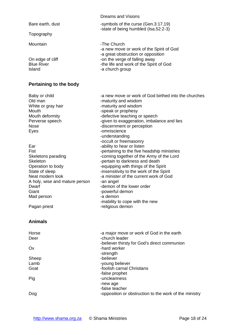Dreams and Visions Bare earth, dust -symbols of the curse (Gen.3:17,19) -state of being humbled (Isa.52:2-3) Topography Mountain **Mountain** -The Church -a new move or work of the Spirit of God -a great obstruction or opposition On edge of cliff  $\begin{array}{ccc} -\text{on the verge of falling away} \\ \text{Blue River} \end{array}$ Blue River The life and work of the Spirit of God<br>Island The The Spirit of God<br>Acturation of the Spirit of God -a church group

# <span id="page-17-0"></span>**Pertaining to the body**

<span id="page-17-1"></span>

| -a new move or work of God birthed into the churches |
|------------------------------------------------------|
| -maturity and wisdom                                 |
| -maturity and wisdom                                 |
| -speak or prophesy                                   |
| -defective teaching or speech                        |
| -given to exaggeration, imbalance and lies           |
| -discernment or perception                           |
| -omniscience                                         |
| -understanding                                       |
| -occult or freemasonry                               |
| -ability to hear or listen                           |
| -pertaining to the five headship ministries          |
| -coming together of the Army of the Lord             |
| -pertain to darkness and death                       |
| -equipping with things of the Spirit                 |
| -insensitivity to the work of the Spirit             |
| -a minister of the current work of God               |
| -an angel                                            |
| -demon of the lower order                            |
| -powerful demon                                      |
| -a demon                                             |
| -inability to cope with the new                      |
| -religious demon                                     |
|                                                      |
|                                                      |
| -a major move or work of God in the earth            |
| -church leader                                       |
| -believer thirsty for God's direct communion         |
| -hard worker                                         |
| -strength                                            |
| -believer                                            |
| -young believer                                      |
| -foolish carnal Christians                           |
| -false prophet                                       |
| -uncleanness                                         |
| -new age                                             |
| -false teacher                                       |
|                                                      |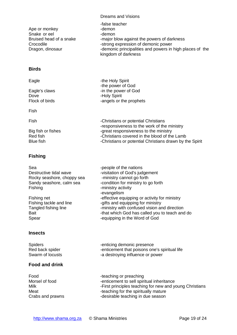| -false teacher                                                                  |
|---------------------------------------------------------------------------------|
| -demon                                                                          |
| -demon                                                                          |
| -major blow against the powers of darkness                                      |
| -strong expression of demonic power                                             |
| -demonic principalities and powers in high places of the<br>kingdom of darkness |
|                                                                                 |

-the power of God

# <span id="page-18-0"></span>**Birds**

Eagle **Eagle -the Holy Spirit** 

Eagle's claws **Eagle's** claws -in the power of God Dove -Holy Spirit Flock of birds **Flock** of birds **Flock** of birds **Flock** of birds **Flock** of birds **FLOCK**  $\sim$  **FLOCK**  $\sim$  **FLOCK**  $\sim$  **FLOCK**  $\sim$  **FLOCK**  $\sim$  **FLOCK**  $\sim$  **FLOCK**  $\sim$  **FLOCK**  $\sim$  **FLOCK**  $\sim$  **FLOCK**  $\sim$  **FLOCK**

Fish

Fish **Fish** -Christians or potential Christians -responsiveness to the work of the ministry Big fish or fishes<br>Red fish strategy of the ministry red fish the blood of the Red fish strategy of the school of the plood of the<br>Christians covered in the blood of the -Christians covered in the blood of the Lamb Blue fish **Blue fish** -Christians or potential Christians drawn by the Spirit

### <span id="page-18-1"></span>**Fishing**

| Sea<br>Destructive tidal wave<br>Rocky seashore, choppy sea<br>Sandy seashore, calm sea<br>Fishing<br>Fishing net<br>Fishing tackle and line<br>Tangled fishing line<br>Bait<br>Spear | -people of the nations<br>-visitation of God's judgement<br>-ministry cannot go forth<br>-condition for ministry to go forth<br>-ministry activity<br>-evangelism<br>-effective equipping or activity for ministry<br>-gifts and equipping for ministry<br>-ministry with confused vision and direction<br>-that which God has called you to teach and do<br>-equipping in the Word of God |
|---------------------------------------------------------------------------------------------------------------------------------------------------------------------------------------|--------------------------------------------------------------------------------------------------------------------------------------------------------------------------------------------------------------------------------------------------------------------------------------------------------------------------------------------------------------------------------------------|
|                                                                                                                                                                                       |                                                                                                                                                                                                                                                                                                                                                                                            |
| <b>Spiders</b>                                                                                                                                                                        | -enticing demonic presence                                                                                                                                                                                                                                                                                                                                                                 |

<span id="page-18-2"></span>Red back spider  $\qquad \qquad \qquad -$ enticement that poisons one's spiritual life Swarm of locusts -a destroying influence or power

# <span id="page-18-3"></span>**Food and drink**

| Food             | -teaching or preaching                                  |
|------------------|---------------------------------------------------------|
| Morsel of food   | -enticement to sell spiritual inheritance               |
| Milk             | -First principles teaching for new and young Christians |
| Meat             | -teaching for the spiritually mature                    |
| Crabs and prawns | -desirable teaching in due season                       |
|                  |                                                         |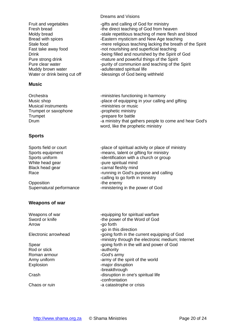Muddy brown water **Accord 19 and 19 and 19 adulterated spiritual life** 

#### <span id="page-19-0"></span>**Music**

Musical instruments **and intervalled** -ministries or music Trumpet or saxophone -prophetic ministry Trumpet Trumpet **-prepare for battle** 

# <span id="page-19-1"></span>**Sports**

Opposition **-the enemy** 

# <span id="page-19-2"></span>**Weapons of war**

#### Dreams and Visions

- Fruit and vegetables -gifts and calling of God for ministry Fresh bread  $\qquad \qquad$ -the direct teaching of God from heaven Moldy bread  $\blacksquare$  -stale repetitious teaching of mere flesh and blood Bread with spices **Eastern mysticism and New Age teaching** Bread with spices Stale food **-mere religious teaching lacking the breath of the Spirit** Fast take away food -not nourishing and superficial teaching Drink **-being filled and nourished by the Spirit of God** Pure strong drink  $\blacksquare$  -mature and powerful things of the Spirit Pure clear water -purity of communion and teaching of the Spirit
	-
- Water or drink being cut off -blessings of God being withheld
- Orchestra **-ministries functioning in harmony** Music shop  $\longrightarrow$  -place of equipping in your calling and gifting Drum **Drum** -a ministry that gathers people to come and hear God's word, like the prophetic ministry
- Sports field or court -place of spiritual activity or place of ministry Sports equipment -means, talent or gifting for ministry Sports uniform  $\qquad \qquad$ -identification with a church or group White head gear example in the spiritual mind Black head gear carnal fleshly mind Race **Race -running in God's purpose and calling** -calling to go forth in ministry Supernatural performance -ministering in the power of God
- Weapons of war -equipping for spiritual warfare Sword or knife  $-$ the power of the Word of God Arrow **-go forth** -go in this direction Electronic arrowhead  $\qquad \qquad -$ going forth in the current equipping of God -ministry through the electronic medium; Internet Spear **-going forth in the will and power of God** Rod or stick - authority Roman armour **compared armour** -God's army Army uniform - army of the spirit of the world Explosion - The major disruption -breakthrough Crash **Crash 2008** -disruption in one's spiritual life -confrontation Chaos or ruin -a catastrophe or crisis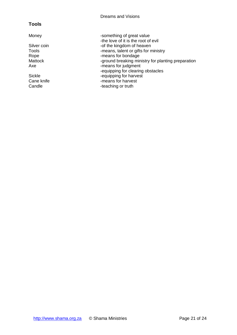# <span id="page-20-0"></span>**Tools**

- 
- 

Money **Money** -something of great value -the love of it is the root of evil Silver coin -of the kingdom of heaven<br>Tools -means, talent or gifts for n

- Tools Tools -means, talent or gifts for ministry<br>Rope Figure -means for bondage
- Rope -means for bondage<br>
Mattock -ground breaking mir
	- -ground breaking ministry for planting preparation
- Axe Franchise The same starting of the same starting of the same starting of the same starting of the same s
	- -equipping for clearing obstacles
- Sickle<br>
Cane knife<br>
Cane come and the complete of the cane can be the completed of the canonic can be completed to the complete of the complete of the complete of the complete of the complete of the complete of the complet
	- -means for harvest
- Candle **Candle** -teaching or truth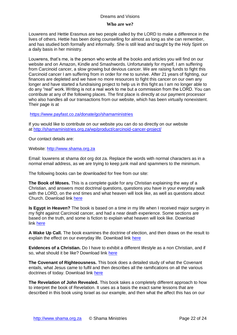#### **Who are we?**

Louwrens and Hettie Erasmus are two people called by the LORD to make a difference in the lives of others. Hettie has been doing counselling for almost as long as she can remember, and has studied both formally and informally. She is still lead and taught by the Holy Spirit on a daily basis in her ministry.

Louwrens, that's me, is the person who wrote all the books and articles you will find on our website and on Amazon, Kindle and Smashwords. Unfortunately for myself, I am suffering from Carcinoid cancer, a slow growing but devious cancer. We are raising funds to fight this Carcinoid cancer I am suffering from in order for me to survive. After 21 years of fighting, our finances are depleted and we have no more resources to fight this cancer on our own any longer and have started a fundraising project to help us in this fight as I am no longer able to do any "real" work. Writing is not a real work to me but a commission from the LORD. You can contribute at any of the following places. The first place is directly at our payment processor who also handles all our transactions from our website, which has been virtually nonexistent. Their page is at

<https://www.payfast.co.za/donate/go/shamaministries>

If you would like to contribute on our website you can do so directly on our website at <http://shamaministries.org.za/wp/product/carcinoid-cancer-project/>

Our contact details are:

Website: [http://www.shama.org.za](http://www.shama.org.za/)

Email: louwrens at shama dot org dot za. Replace the words with normal characters as in a normal email address, as we are trying to keep junk mail and spammers to the minimum.

The following books can be downloaded for free from our site:

**The Book of Moses.** This is a complete guide for any Christian explaining the way of a Christian, and answers most doctrinal questions, questions you have in your everyday walk with the LORD, on the end times and what heaven will look like, as well as questions about Church. Download link [here](http://www.shamaministries.org.za/boeke/The%20Book%20of%20Moses.pdf)

**Is Egypt in Heaven?** The book is based on a time in my life when I received major surgery in my fight against Carcinoid cancer, and had a near death experience. Some sections are based on the truth, and some is fiction to explain what heaven will look like. Download link [here](http://www.shamaministries.org.za/boeke/Is%20Egypt%20in%20heaven.pdf)

**A Wake Up Call.** The book examines the doctrine of election, and then draws on the result to explain the effect on our everyday life. Download link [here](http://www.shamaministries.org.za/boeke/A%20Wakeup%20Call.pdf)

**Evidences of a Christian.** Do I have to exhibit a different lifestyle as a non Christian, and if so, what should it be like? Download link [here](http://www.shamaministries.org.za/boeke/Evidences%20of%20a%20Christian.pdf)

**The Covenant of Righteousness.** This book does a detailed study of what the Covenant entails, what Jesus came to fulfil and then describes all the ramifications on all the various doctrines of today. Download link [here](http://www.shamaministries.org.za/boeke/The%20Covenant%20of%20Righteousness.pdf)

**The Revelation of John Revealed.** This book takes a completely different approach to how to interpret the book of Revelation. It uses as a basis the exact same lessons that are described in this book using Israel as our example, and then what the affect this has on our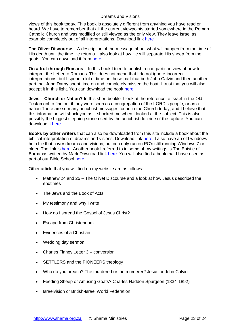views of this book today. This book is absolutely different from anything you have read or heard. We have to remember that all the current viewpoints started somewhere in the Roman Catholic Church and was modified or still viewed as the only view. They leave Israel as example completely out of all interpretations. Download link [here](http://www.shamaministries.org.za/boeke/The%20Revelation%20of%20John%20Revealed.pdf)

**The Olivet Discourse** – A description of the message about what will happen from the time of His death until the time He returns. I also look at how He will separate His sheep from the goats. You can download it from [here.](http://www.shamaministries.org.za/boeke/Matthew%2024%20and%2025.pdf)

**On a trot through Romans** – In this book I tried to publish a non partisan view of how to interpret the Letter to Romans. This does not mean that I do not ignore incorrect interpretations, but I spend a lot of time on those part that both John Calvin and then another part that John Darby spent time on and completely missed the boat. I trust that you will also accept it in this light. You can download the book [here](http://www.shamaministries.org.za/boeke/On%20a%20trot%20through%20Romans.pdf)

**Jews – Church or Nation?** In this short booklet I look at the reference to Israel in the Old Testament to find out if they were seen as a congregation of the LORD's people, or as a nation.There are so many antichrist messages found in the Church today, and I believe that this information will shock you as it shocked me when I looked at the subject. This is also possibly the biggest stepping stone used by the antichrist doctrine of the rapture. You can download it [here](http://www.shamaministries.org.za/boeke/Jews.pdf)

**Books by other writers** that can also be downloaded from this site include a book about the biblical interpretation of dreams and visions. Download link [here.](http://www.shamaministries.org.za/boeke/Dreams%20and%20Visions%20-%20A%20Biblical%20Perspective.pdf) I also have an old windows help file that cover dreams and visions, but can only run on PC's still running Windows 7 or older. The link is [here.](http://www.shamaministries.org.za/boeke/Dreams.hlp) Another book I referred to in some of my writings is The Epistle of Barnabas written by Mark.Download link [here.](http://www.shamaministries.org.za/boeke/THE%20EPISTLE%20OF%20BARNABAS%20-%20Mark.pdf) You will also find a book that I have used as part of our Bible School [here](http://www.shamaministries.org.za/boeke/The%20Shama%20Ministries%20Bible%20Course.pdf)

Other article that you will find on my website are as follows:

- Matthew 24 and 25 The Olivet Discourse and a look at how Jesus described the endtimes
- The Jews and the Book of Acts
- My testimony and why I write
- How do I spread the Gospel of Jesus Christ?
- Escape from Christendom
- Evidences of a Christian
- Wedding day sermon
- Charles Finney Letter 3 conversion
- SETTLERS and the PIONEERS theology
- Who do you preach? The murdered or the murderer? Jesus or John Calvin
- Feeding Sheep or Amusing Goats? Charles Haddon Spurgeon (1834-1892)
- Israelvision or British-Israel World Federation